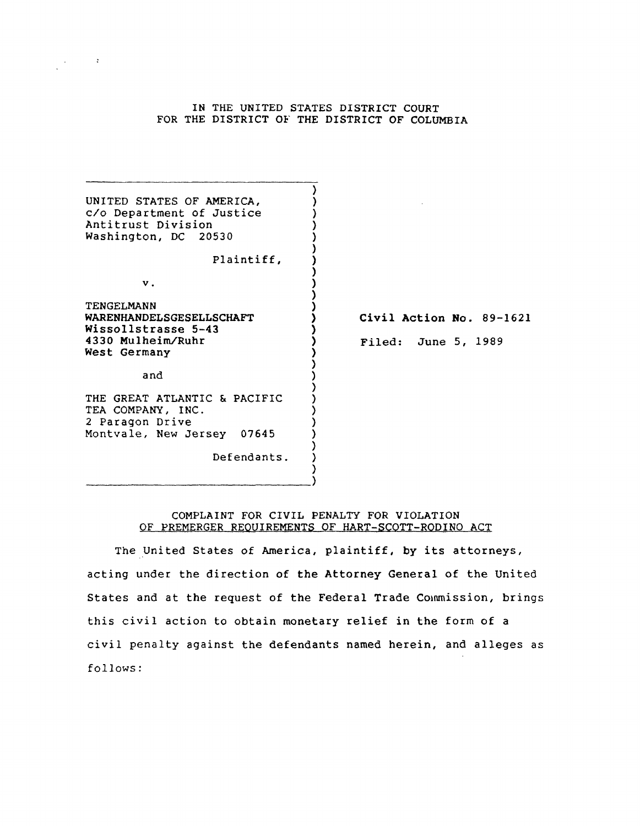# IN THE UNITED STATES DISTRICT COURT FOR THE DISTRICT OF THE DISTRICT OF COLUMBIA

 $\mathcal{L}_{\text{max}}(\mathcal{A})$ 

| UNITED STATES OF AMERICA,<br>c/o Department of Justice<br>Antitrust Division<br>Washington, DC 20530                              |                                                 |
|-----------------------------------------------------------------------------------------------------------------------------------|-------------------------------------------------|
| Plaintiff,<br>$\mathbf v$ .<br>TENGELMANN<br>WARENHANDELSGESELLSCHAFT<br>Wissollstrasse 5-43<br>4330 Mulheim/Ruhr<br>West Germany | Civil Action No. 89-1621<br>Filed: June 5, 1989 |
| and<br>THE GREAT ATLANTIC & PACIFIC                                                                                               |                                                 |
| TEA COMPANY, INC.<br>2 Paragon Drive<br>Montvale, New Jersey 07645                                                                |                                                 |
| Defendants.                                                                                                                       |                                                 |

# COMPLAINT FOR CIVIL PENALTY FOR VIOLATION OF PREMERGER REQUIREMENTS OF HART-SCOTT-RODINO ACT

The United States of America, plaintiff, by its attorneys, acting under the direction of the Attorney General of the United States and at the request of the Federal Trade Commission, brings this civil action to obtain monetary relief in the form of a civil penalty against the defendants named herein, and alleges as follows: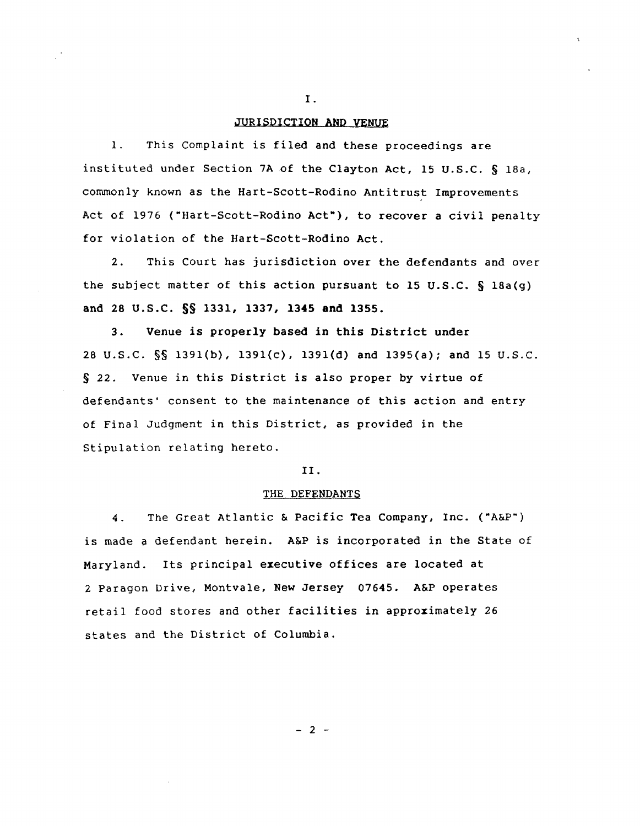## JURISDICTION AND VENUE

1. This Complaint is filed and these proceedings are instituted under Section 7Aof the Clayton Act, 15 U.S.C. § 18a, commonly known as the Hart-Scott-Rodino Antitrust Improvements Act of 1976 ("Hart-Scott-Rodino Act"), to recover a civil penalty for violation of the Hart-Scott-Rodino Act.

2. This Court has jurisdiction over the defendants and over the subject matter of this action pursuant to 15 U.S.C.  $\S$  18a(g) and 28 U.S.C. §§ 1331, 1337, **1345 and** 1355.

3. Venue is properly based in this District under 28 U.S.C. §§ 1391(b), 1391{c), 1391(d) and 1395(a); and 15 U.S.C. § 22. Venue in this District is also proper by virtue of defendants' consent to the maintenance of this action and entry of Final Judgment in this District, as provided in the Stipulation relating hereto.

## II.

# THE DEFENDANTS

4. The Great Atlantic & Pacific Tea Company, Inc. ("A&P") is made a defendant herein. A&P is incorporated in the State of Maryland. Its principal executive offices are located at 2 Paragon Drive, Montvale, New Jersey 07645. A&P operates retail food stores and other facilities in approximately 26 states and the District of Columbia.

 $- 2 -$ 

I.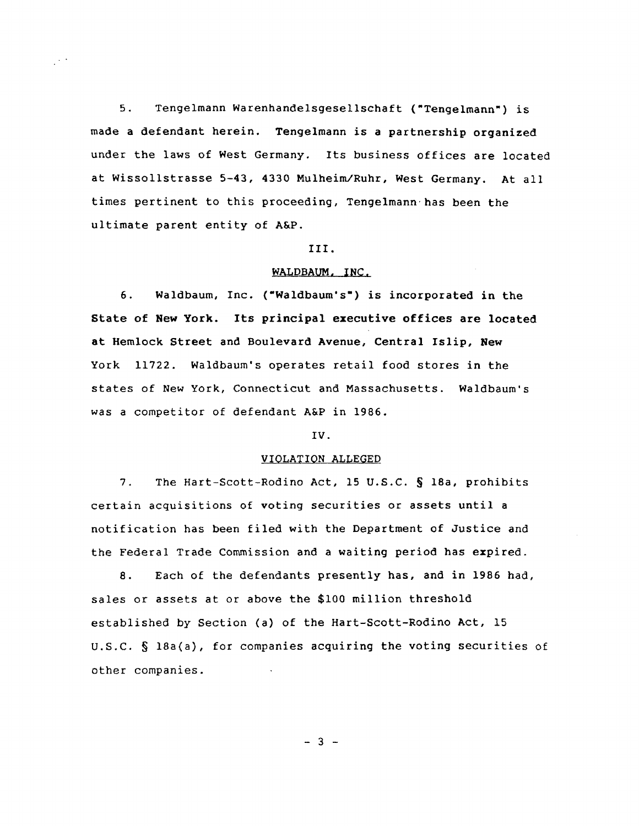5. Tengelmann Warenhandelsgesellschaft ("Tengelmann") is made a defendant herein. Tengelmann is a partnership organized under the laws of West Germany. Its business offices are located at Wissollstrasse 5-43, 4330 Mulheim/Ruhr, West Germany. At all times pertinent to this proceeding, Tengelmann'has been the ultimate parent entity of A&P.

 $\mathbb{R}^{n \times n}$ 

### III.

# WALDBAUM, INC.

6. Waldbaum, Inc. ("Waldbaum's") is incorporated in the State of New York. Its principal executive offices are located at Hemlock Street and Boulevard Avenue, Central Islip, New York 11722. Waldbaum's operates retail food stores in the states of New York, Connecticut and Massachusetts. Waldbaum's was a competitor of defendant A&P in 1986.

## IV.

## VIOLATION ALLEGED

7. The Hart-Scott-Rodino Act, 15 U.S.C. § 18a, prohibits certain acquisitions of voting securities or assets until a notification has been filed with the Department of Justice and the Federal Trade Commission and a waiting period has expired.

8. Each of the defendants presently has, and in 1986 had, sales or assets at or above the \$100 million threshold established by Section (a) of the Hart-Scott-Rodino Act, 15 U.S.C. § 18a(a), for companies acquiring the voting securities of other companies.

 $-3 -$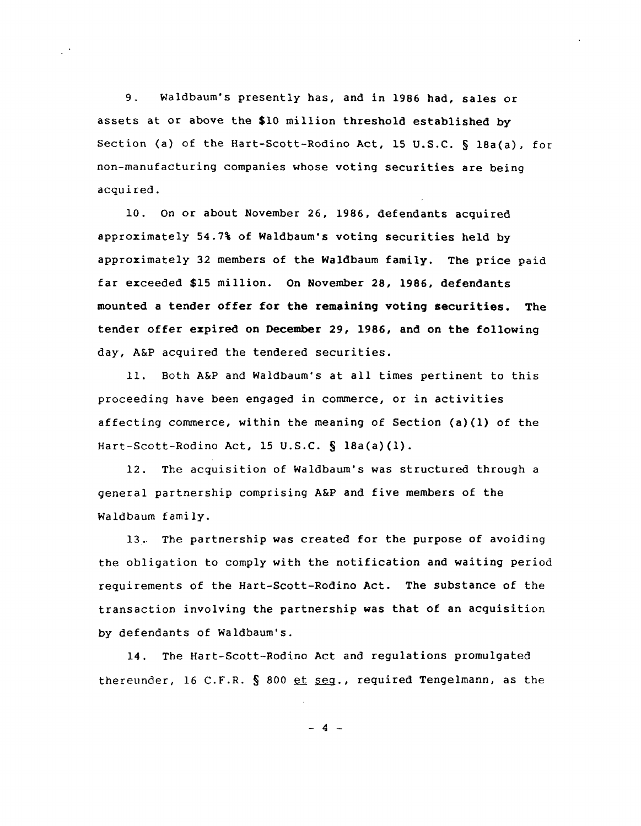9. Waldbaum's presently has, and in 1986 had, sales or assets at or above the \$10 million threshold established by Section (a) of the Hart-Scott-Rodino Act, 15 U.S.C. § 18a(a), for non-manufacturing companies whose voting securities are being acquired.

10. On or about November 26, 1986, defendants acquired approximately 54.7\ of Waldbaum's voting securities held by approximately 32 members of the Waldbaum family. The price paid far exceeded \$15 million. On November 28, 1986, defendants mounted a tender offer for the remaining voting securities. The tender offer expired on December 29, 1986, and on the following day, A&P acquired the tendered securities.

11. Both A&P and Waldbaum's at all times pertinent to this proceeding have been engaged in commerce, or in activities affecting commerce, within the meaning of Section (a)(l) of the Hart-Scott-Rodino Act, 15 U.S.C. § 18a(a)(1).

12. The acquisition of Waldbaum's was structured through a general partnership comprising A&P and five members of the Waldbaum family.

13. The partnership was created for the purpose of avoiding the obligation to comply with the notification and waiting period requirements of the Hart-Scott-Rodino Act. The substance of the transaction involving the partnership was that of an acquisition by defendants of Waldbaum's.

14. The Hart-Scott-Rodino Act and regulations promulgated thereunder, 16 C.F.R.  $\S$  800  $et$   $set$   $eq.$ , required Tengelmann, as the

 $- 4 -$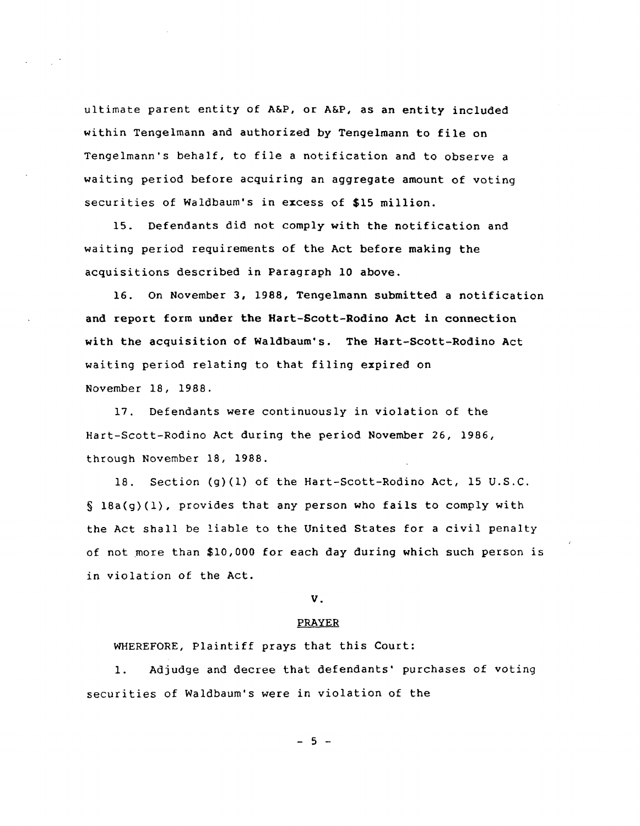ultimate parent entity of A&P, or A&P, as an entity included within Tengelmann and authorized by Tengelmann to file on Tengelmann's behalf, to file a notification and to observe a waiting period before acquiring an aggregate amount of voting securities of Waldbaum's in excess of \$15 million.

15. Defendants did not comply with the notification and waiting period requirements of the Act before making the acquisitions described in Paragraph 10 above.

16. On November 3, 1988, Tengelmann submitted a notification and report form under the Hart-Scott-Rodino Act in connection with the acquisition of Waldbaum's. The Hart-Scott-Rodino Act waiting period relating to that filing expired on November 18, 1988.

17. Defendants were continuously in violation of the Hart-Scott-Rodino Act during the period November 26, 1986, through November 18, 1988.

18. Section (g)(l) of the Hart-Scott-Rodino Act, 15 U.S.C. § 18a(g)(1), provides that any person who fails to comply with the Act shall be liable to the United States for a civil penalty of not more than \$10,000 for each day during which such person is in violation of the Act.

# V.

### PRAYER

WHEREFORE, Plaintiff prays that this Court:

1. Adjudge and decree that defendants' purchases of voting securities of Waldbaum's were in violation of the

 $- 5 -$